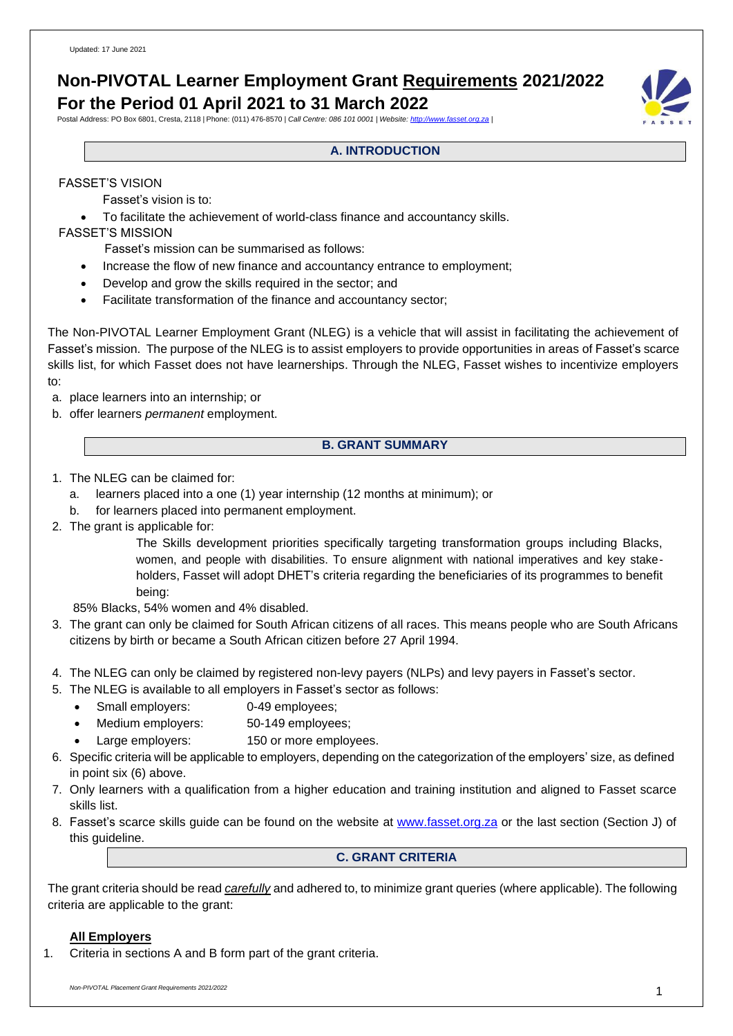# **Non-PIVOTAL Learner Employment Grant Requirements 2021/2022 For the Period 01 April 2021 to 31 March 2022**

Postal Address: PO Box 6801, Cresta, 2118 | Phone: (011) 476-8570 | *Call Centre: 086 101 0001 | Website[: http://www.fasset.org.za](http://www.fasset.org.za/) |*

# **A. INTRODUCTION**

### FASSET'S VISION

Fasset's vision is to:

• To facilitate the achievement of world-class finance and accountancy skills.

FASSET'S MISSION

Fasset's mission can be summarised as follows:

- Increase the flow of new finance and accountancy entrance to employment;
- Develop and grow the skills required in the sector; and
- Facilitate transformation of the finance and accountancy sector;

The Non-PIVOTAL Learner Employment Grant (NLEG) is a vehicle that will assist in facilitating the achievement of Fasset's mission. The purpose of the NLEG is to assist employers to provide opportunities in areas of Fasset's scarce skills list, for which Fasset does not have learnerships. Through the NLEG, Fasset wishes to incentivize employers to:

a. place learners into an internship; or

b. offer learners *permanent* employment.

### **B. GRANT SUMMARY**

- 1. The NLEG can be claimed for:
	- a. learners placed into a one (1) year internship (12 months at minimum); or
	- b. for learners placed into permanent employment.
- 2. The grant is applicable for:

The Skills development priorities specifically targeting transformation groups including Blacks, women, and people with disabilities. To ensure alignment with national imperatives and key stakeholders, Fasset will adopt DHET's criteria regarding the beneficiaries of its programmes to benefit being:

85% Blacks, 54% women and 4% disabled.

- 3. The grant can only be claimed for South African citizens of all races. This means people who are South Africans citizens by birth or became a South African citizen before 27 April 1994.
- 4. The NLEG can only be claimed by registered non-levy payers (NLPs) and levy payers in Fasset's sector.
- 5. The NLEG is available to all employers in Fasset's sector as follows:
	- Small employers: 0-49 employees;
	- Medium employers: 50-149 employees;
	- Large employers: 150 or more employees.
- 6. Specific criteria will be applicable to employers, depending on the categorization of the employers' size, as defined in point six (6) above.
- 7. Only learners with a qualification from a higher education and training institution and aligned to Fasset scarce skills list.
- 8. Fasset's scarce skills guide can be found on the website at [www.fasset.org.za](http://www.fasset.org.za/) or the last section (Section J) of this guideline.

## **C. GRANT CRITERIA**

The grant criteria should be read *carefully* and adhered to, to minimize grant queries (where applicable). The following criteria are applicable to the grant:

### **All Employers**

1. Criteria in sections A and B form part of the grant criteria.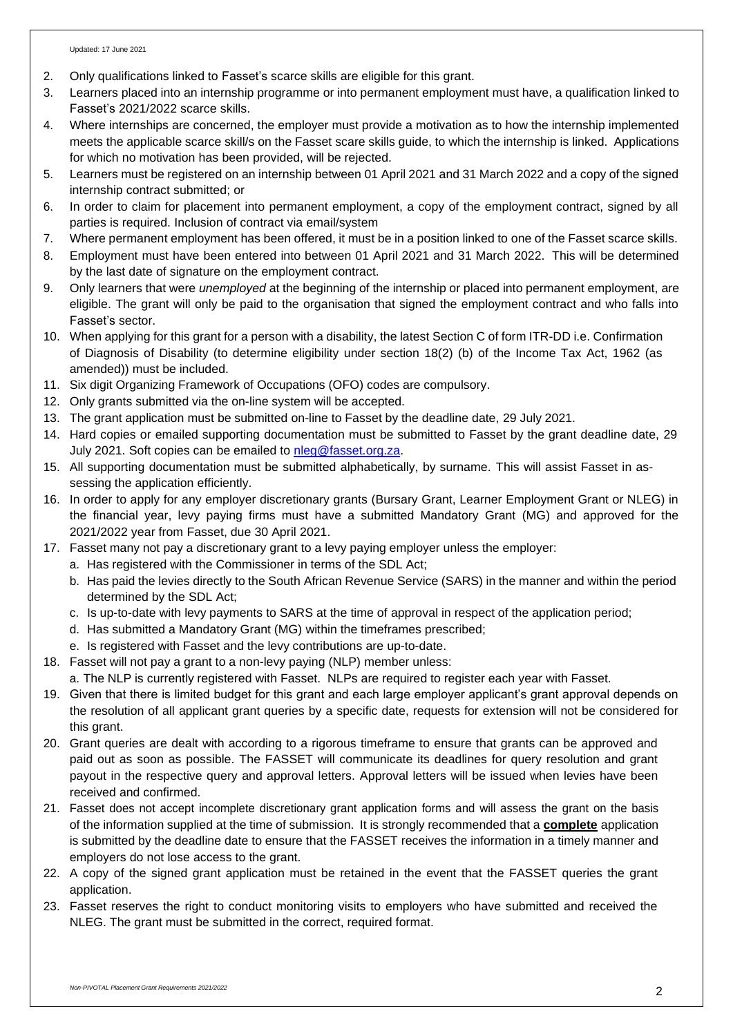- 2. Only qualifications linked to Fasset's scarce skills are eligible for this grant.
- 3. Learners placed into an internship programme or into permanent employment must have, a qualification linked to Fasset's 2021/2022 scarce skills.
- 4. Where internships are concerned, the employer must provide a motivation as to how the internship implemented meets the applicable scarce skill/s on the Fasset scare skills guide, to which the internship is linked. Applications for which no motivation has been provided, will be rejected.
- 5. Learners must be registered on an internship between 01 April 2021 and 31 March 2022 and a copy of the signed internship contract submitted; or
- 6. In order to claim for placement into permanent employment, a copy of the employment contract, signed by all parties is required. Inclusion of contract via email/system
- 7. Where permanent employment has been offered, it must be in a position linked to one of the Fasset scarce skills.
- 8. Employment must have been entered into between 01 April 2021 and 31 March 2022. This will be determined by the last date of signature on the employment contract.
- 9. Only learners that were *unemployed* at the beginning of the internship or placed into permanent employment, are eligible. The grant will only be paid to the organisation that signed the employment contract and who falls into Fasset's sector.
- 10. When applying for this grant for a person with a disability, the latest Section C of form ITR-DD i.e. Confirmation of Diagnosis of Disability (to determine eligibility under section 18(2) (b) of the Income Tax Act, 1962 (as amended)) must be included.
- 11. Six digit Organizing Framework of Occupations (OFO) codes are compulsory.
- 12. Only grants submitted via the on-line system will be accepted.
- 13. The grant application must be submitted on-line to Fasset by the deadline date, 29 July 2021.
- 14. Hard copies or emailed supporting documentation must be submitted to Fasset by the grant deadline date, 29 July 2021. Soft copies can be emailed to [nleg@fasset.org.za.](mailto:nleg@fasset.org.za)
- 15. All supporting documentation must be submitted alphabetically, by surname. This will assist Fasset in assessing the application efficiently.
- 16. In order to apply for any employer discretionary grants (Bursary Grant, Learner Employment Grant or NLEG) in the financial year, levy paying firms must have a submitted Mandatory Grant (MG) and approved for the 2021/2022 year from Fasset, due 30 April 2021.
- 17. Fasset many not pay a discretionary grant to a levy paying employer unless the employer:
	- a. Has registered with the Commissioner in terms of the SDL Act;
	- b. Has paid the levies directly to the South African Revenue Service (SARS) in the manner and within the period determined by the SDL Act;
	- c. Is up-to-date with levy payments to SARS at the time of approval in respect of the application period;
	- d. Has submitted a Mandatory Grant (MG) within the timeframes prescribed;
	- e. Is registered with Fasset and the levy contributions are up-to-date.
- 18. Fasset will not pay a grant to a non-levy paying (NLP) member unless:
	- a. The NLP is currently registered with Fasset. NLPs are required to register each year with Fasset.
- 19. Given that there is limited budget for this grant and each large employer applicant's grant approval depends on the resolution of all applicant grant queries by a specific date, requests for extension will not be considered for this grant.
- 20. Grant queries are dealt with according to a rigorous timeframe to ensure that grants can be approved and paid out as soon as possible. The FASSET will communicate its deadlines for query resolution and grant payout in the respective query and approval letters. Approval letters will be issued when levies have been received and confirmed.
- 21. Fasset does not accept incomplete discretionary grant application forms and will assess the grant on the basis of the information supplied at the time of submission. It is strongly recommended that a **complete** application is submitted by the deadline date to ensure that the FASSET receives the information in a timely manner and employers do not lose access to the grant.
- 22. A copy of the signed grant application must be retained in the event that the FASSET queries the grant application.
- 23. Fasset reserves the right to conduct monitoring visits to employers who have submitted and received the NLEG. The grant must be submitted in the correct, required format.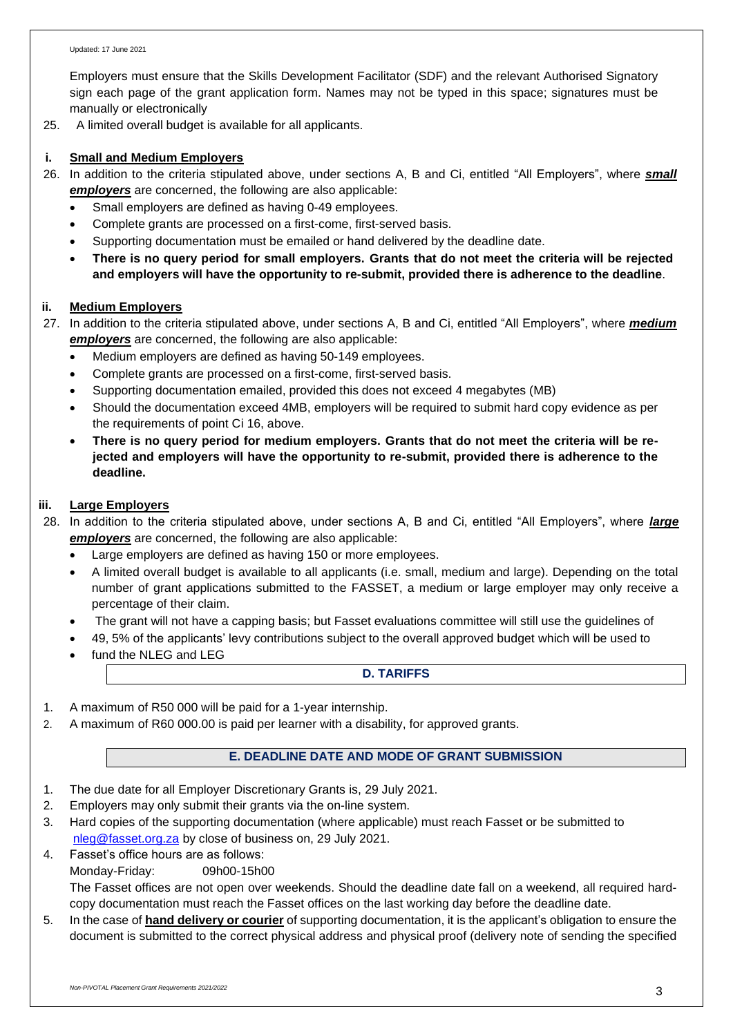Employers must ensure that the Skills Development Facilitator (SDF) and the relevant Authorised Signatory sign each page of the grant application form. Names may not be typed in this space; signatures must be manually or electronically

25. A limited overall budget is available for all applicants.

### **i. Small and Medium Employers**

- 26. In addition to the criteria stipulated above, under sections A, B and Ci, entitled "All Employers", where *small employers* are concerned, the following are also applicable:
	- Small employers are defined as having 0-49 employees.
	- Complete grants are processed on a first-come, first-served basis.
	- Supporting documentation must be emailed or hand delivered by the deadline date.
	- There is no query period for small employers. Grants that do not meet the criteria will be rejected **and employers will have the opportunity to re-submit, provided there is adherence to the deadline**.

### **ii. Medium Employers**

- 27. In addition to the criteria stipulated above, under sections A, B and Ci, entitled "All Employers", where *medium employers* are concerned, the following are also applicable:
	- Medium employers are defined as having 50-149 employees.
	- Complete grants are processed on a first-come, first-served basis.
	- Supporting documentation emailed, provided this does not exceed 4 megabytes (MB)
	- Should the documentation exceed 4MB, employers will be required to submit hard copy evidence as per the requirements of point Ci 16, above.
	- **There is no query period for medium employers. Grants that do not meet the criteria will be rejected and employers will have the opportunity to re-submit, provided there is adherence to the deadline.**

### **iii. Large Employers**

28. In addition to the criteria stipulated above, under sections A, B and Ci, entitled "All Employers", where *large employers* are concerned, the following are also applicable:

- Large employers are defined as having 150 or more employees.
- A limited overall budget is available to all applicants (i.e. small, medium and large). Depending on the total number of grant applications submitted to the FASSET, a medium or large employer may only receive a percentage of their claim.
- The grant will not have a capping basis; but Fasset evaluations committee will still use the guidelines of
- 49, 5% of the applicants' levy contributions subject to the overall approved budget which will be used to
- fund the NLEG and LEG

### **D. TARIFFS**

- 1. A maximum of R50 000 will be paid for a 1-year internship.
- 2. A maximum of R60 000.00 is paid per learner with a disability, for approved grants.

# **E. DEADLINE DATE AND MODE OF GRANT SUBMISSION**

- 1. The due date for all Employer Discretionary Grants is, 29 July 2021.
- 2. Employers may only submit their grants via the on-line system.
- 3. Hard copies of the supporting documentation (where applicable) must reach Fasset or be submitted to [nleg@fasset.org.za](mailto:nleg@fasset.org.za) by close of business on, 29 July 2021.
- 4. Fasset's office hours are as follows:
	- Monday-Friday: 09h00-15h00

The Fasset offices are not open over weekends. Should the deadline date fall on a weekend, all required hardcopy documentation must reach the Fasset offices on the last working day before the deadline date.

5. In the case of **hand delivery or courier** of supporting documentation, it is the applicant's obligation to ensure the document is submitted to the correct physical address and physical proof (delivery note of sending the specified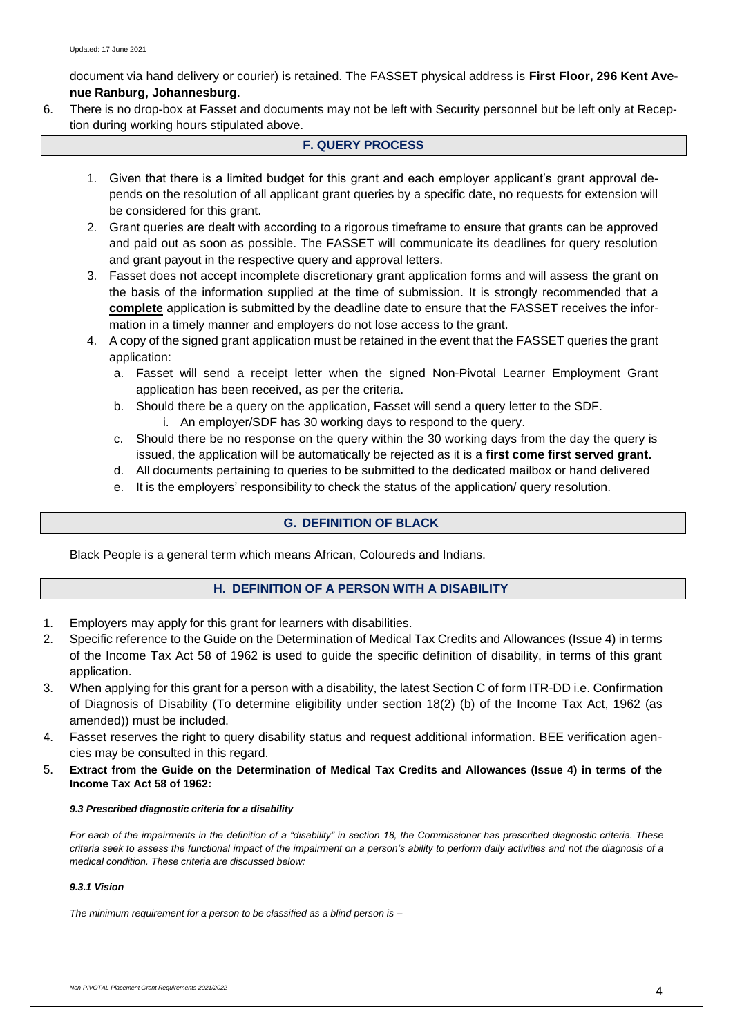document via hand delivery or courier) is retained. The FASSET physical address is **First Floor, 296 Kent Avenue Ranburg, Johannesburg**.

6. There is no drop-box at Fasset and documents may not be left with Security personnel but be left only at Reception during working hours stipulated above.

### **F. QUERY PROCESS**

- 1. Given that there is a limited budget for this grant and each employer applicant's grant approval depends on the resolution of all applicant grant queries by a specific date, no requests for extension will be considered for this grant.
- 2. Grant queries are dealt with according to a rigorous timeframe to ensure that grants can be approved and paid out as soon as possible. The FASSET will communicate its deadlines for query resolution and grant payout in the respective query and approval letters.
- 3. Fasset does not accept incomplete discretionary grant application forms and will assess the grant on the basis of the information supplied at the time of submission. It is strongly recommended that a **complete** application is submitted by the deadline date to ensure that the FASSET receives the information in a timely manner and employers do not lose access to the grant.
- 4. A copy of the signed grant application must be retained in the event that the FASSET queries the grant application:
	- a. Fasset will send a receipt letter when the signed Non-Pivotal Learner Employment Grant application has been received, as per the criteria.
	- b. Should there be a query on the application, Fasset will send a query letter to the SDF.
		- i. An employer/SDF has 30 working days to respond to the query.
	- c. Should there be no response on the query within the 30 working days from the day the query is issued, the application will be automatically be rejected as it is a **first come first served grant.**
	- d. All documents pertaining to queries to be submitted to the dedicated mailbox or hand delivered
	- e. It is the employers' responsibility to check the status of the application/ query resolution.

### **G. DEFINITION OF BLACK**

Black People is a general term which means African, Coloureds and Indians.

### **H. DEFINITION OF A PERSON WITH A DISABILITY**

- 1. Employers may apply for this grant for learners with disabilities.
- 2. Specific reference to the Guide on the Determination of Medical Tax Credits and Allowances (Issue 4) in terms of the Income Tax Act 58 of 1962 is used to guide the specific definition of disability, in terms of this grant application.
- 3. When applying for this grant for a person with a disability, the latest Section C of form ITR-DD i.e. Confirmation of Diagnosis of Disability (To determine eligibility under section 18(2) (b) of the Income Tax Act, 1962 (as amended)) must be included.
- 4. Fasset reserves the right to query disability status and request additional information. BEE verification agencies may be consulted in this regard.
- 5. **Extract from the Guide on the Determination of Medical Tax Credits and Allowances (Issue 4) in terms of the Income Tax Act 58 of 1962:**

### *9.3 Prescribed diagnostic criteria for a disability*

*For each of the impairments in the definition of a "disability" in section 18, the Commissioner has prescribed diagnostic criteria. These criteria seek to assess the functional impact of the impairment on a person's ability to perform daily activities and not the diagnosis of a medical condition. These criteria are discussed below:*

### *9.3.1 Vision*

*The minimum requirement for a person to be classified as a blind person is –*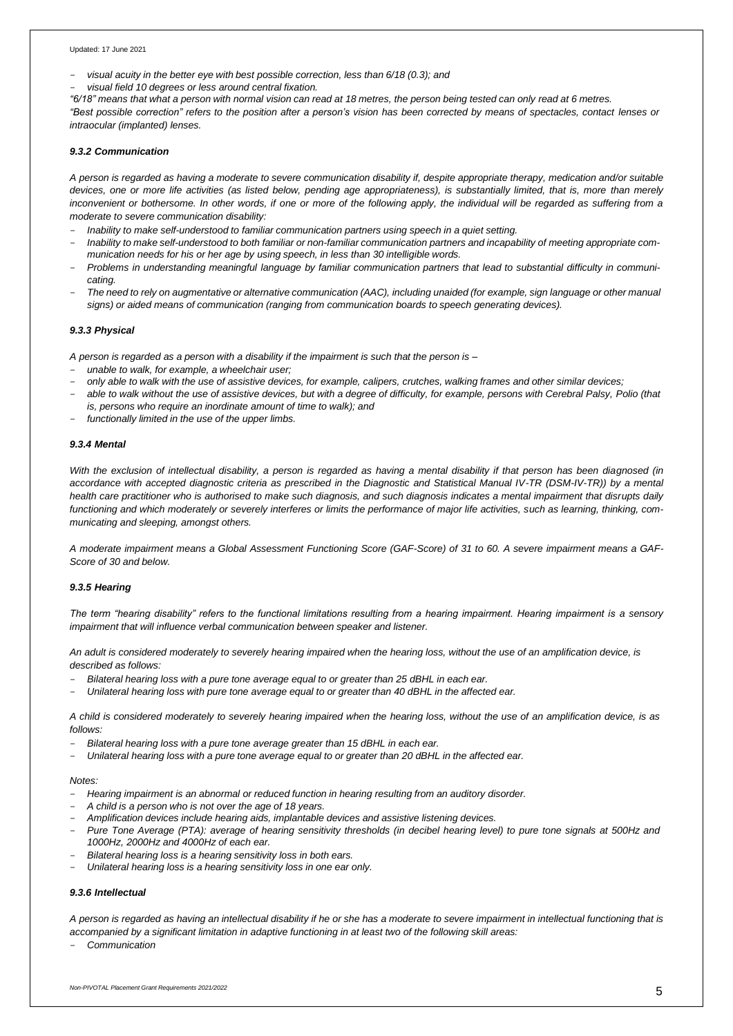#### Updated: 17 June 2021

- *visual acuity in the better eye with best possible correction, less than 6/18 (0.3); and*
- *visual field 10 degrees or less around central fixation.*

"6/18" means that what a person with normal vision can read at 18 metres, the person being tested can only read at 6 metres.

"Best possible correction" refers to the position after a person's vision has been corrected by means of spectacles, contact lenses or *intraocular (implanted) lenses.*

#### *9.3.2 Communication*

A person is regarded as having a moderate to severe communication disability if, despite appropriate therapy, medication and/or suitable *devices, one or more life activities (as listed below, pending age appropriateness), is substantially limited, that is, more than merely inconvenient or bothersome. In other words, if one or more of the following apply, the individual will be regarded as suffering from a moderate to severe communication disability:*

- *Inability to make self-understood to familiar communication partners using speech in a quiet setting.*
- Inability to make self-understood to both familiar or non-familiar communication partners and incapability of meeting appropriate com*munication needs for his or her age by using speech, in less than 30 intelligible words.*
- Problems in understanding meaningful language by familiar communication partners that lead to substantial difficulty in communi*cating.*
- The need to rely on augmentative or alternative communication (AAC), including unaided (for example, sign language or other manual *signs) or aided means of communication (ranging from communication boards to speech generating devices).*

#### *9.3.3 Physical*

A person is regarded as a person with a disability if the impairment is such that the person is -

- *unable to walk, for example, a wheelchair user;*
- only able to walk with the use of assistive devices, for example, calipers, crutches, walking frames and other similar devices;
- *able to walk without the use of assistive devices, but with a degree of difficulty, for example, persons with Cerebral Palsy, Polio (that is, persons who require an inordinate amount of time to walk); and*
- *functionally limited in the use of the upper limbs.*

#### *9.3.4 Mental*

*With the exclusion of intellectual disability, a person is regarded as having a mental disability if that person has been diagnosed (in accordance with accepted diagnostic criteria as prescribed in the Diagnostic and Statistical Manual IV-TR (DSM-IV-TR)) by a mental health care practitioner who is authorised to make such diagnosis, and such diagnosis indicates a mental impairment that disrupts daily functioning and which moderately or severely interferes or limits the performance of major life activities, such as learning, thinking, communicating and sleeping, amongst others.*

*A moderate impairment means a Global Assessment Functioning Score (GAF-Score) of 31 to 60. A severe impairment means a GAF-Score of 30 and below.*

#### *9.3.5 Hearing*

*The term "hearing disability" refers to the functional limitations resulting from a hearing impairment. Hearing impairment is a sensory impairment that will influence verbal communication between speaker and listener.*

*An adult is considered moderately to severely hearing impaired when the hearing loss, without the use of an amplification device, is described as follows:*

- *Bilateral hearing loss with a pure tone average equal to or greater than 25 dBHL in each ear.*
- Unilateral hearing loss with pure tone average equal to or greater than 40 dBHL in the affected ear.

A child is considered moderately to severely hearing impaired when the hearing loss, without the use of an amplification device, is as *follows:*

- *Bilateral hearing loss with a pure tone average greater than 15 dBHL in each ear.*
- Unilateral hearing loss with a pure tone average equal to or greater than 20 dBHL in the affected ear.

#### *Notes:*

- *Hearing impairment is an abnormal or reduced function in hearing resulting from an auditory disorder.*
- *A child is a person who is not over the age of 18 years.*
- *Amplification devices include hearing aids, implantable devices and assistive listening devices.*
- Pure Tone Average (PTA): average of hearing sensitivity thresholds (in decibel hearing level) to pure tone signals at 500Hz and *1000Hz, 2000Hz and 4000Hz of each ear.*
- *Bilateral hearing loss is a hearing sensitivity loss in both ears.*
- *Unilateral hearing loss is a hearing sensitivity loss in one ear only.*

### *9.3.6 Intellectual*

A person is regarded as having an intellectual disability if he or she has a moderate to severe impairment in intellectual functioning that is *accompanied by a significant limitation in adaptive functioning in at least two of the following skill areas:*

- *Communication*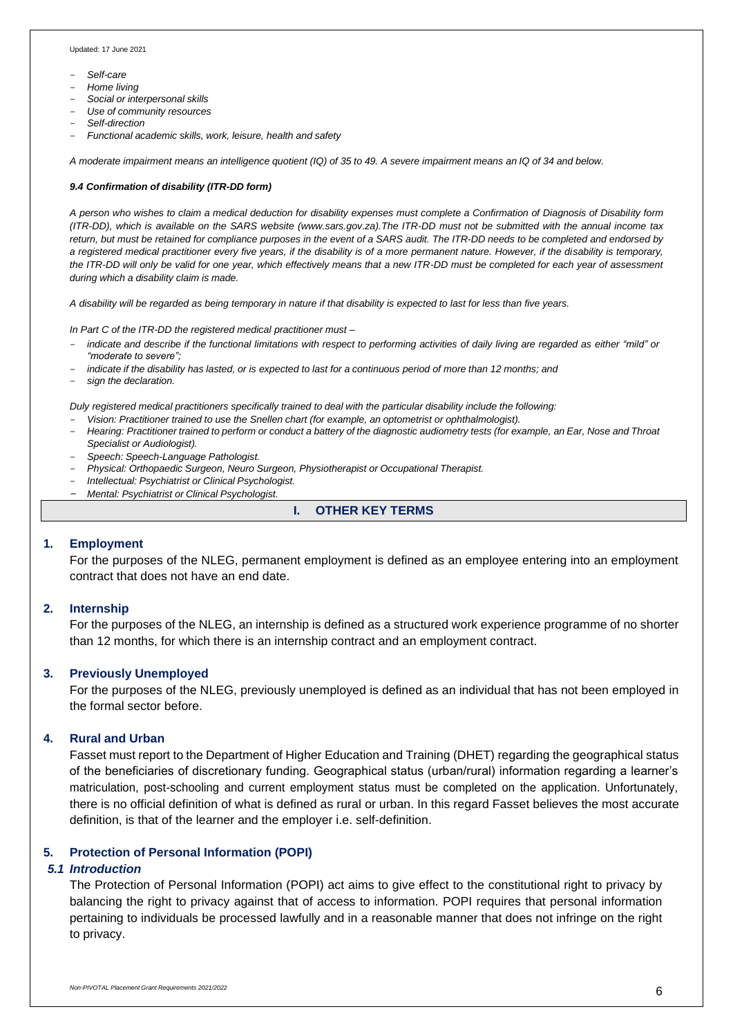Updated: 17 June 2021

- *Self-care*
- *Home living*
- *Social or interpersonal skills*
- *Use of community resources*
- *Self-direction*
- *Functional academic skills, work, leisure, health and safety*

A moderate impairment means an intelligence quotient (IQ) of 35 to 49. A severe impairment means an IQ of 34 and below.

#### *9.4 Confirmation of disability (ITR-DD form)*

*A person who wishes to claim a medical deduction for disability expenses must complete a Confirmation of Diagnosis of Disability form (ITR-DD), which is available on the SARS website (www.sars.gov.za).The ITR-DD must not be submitted with the annual income tax* return, but must be retained for compliance purposes in the event of a SARS audit. The ITR-DD needs to be completed and endorsed by *a registered medical practitioner every five years, if the disability is of a more permanent nature. However, if the disability is temporary, the ITR-DD will only be valid for one year, which effectively means that a new ITR-DD must be completed for each year of assessment during which a disability claim is made.*

*A disability will be regarded as being temporary in nature if that disability is expected to last for less than five years.*

*In Part C of the ITR-DD the registered medical practitioner must –*

- indicate and describe if the functional limitations with respect to performing activities of daily living are regarded as either "mild" or *"moderate to severe";*
- indicate if the disability has lasted, or is expected to last for a continuous period of more than 12 months; and
- *sign the declaration.*

*Duly registered medical practitioners specifically trained to deal with the particular disability include the following:*

- *Vision: Practitioner trained to use the Snellen chart (for example, an optometrist or ophthalmologist).*
- Hearing: Practitioner trained to perform or conduct a battery of the diagnostic audiometry tests (for example, an Ear, Nose and Throat *Specialist or Audiologist).*
- *Speech: Speech-Language Pathologist.*
- *Physical: Orthopaedic Surgeon, Neuro Surgeon, Physiotherapist or Occupational Therapist.*
- *Intellectual: Psychiatrist or Clinical Psychologist.*
- *Mental: Psychiatrist or Clinical Psychologist.*

### **I. OTHER KEY TERMS**

### **1. Employment**

For the purposes of the NLEG, permanent employment is defined as an employee entering into an employment contract that does not have an end date.

### **2. Internship**

For the purposes of the NLEG, an internship is defined as a structured work experience programme of no shorter than 12 months, for which there is an internship contract and an employment contract.

### **3. Previously Unemployed**

For the purposes of the NLEG, previously unemployed is defined as an individual that has not been employed in the formal sector before.

#### **4. Rural and Urban**

Fasset must report to the Department of Higher Education and Training (DHET) regarding the geographical status of the beneficiaries of discretionary funding. Geographical status (urban/rural) information regarding a learner's matriculation, post-schooling and current employment status must be completed on the application. Unfortunately, there is no official definition of what is defined as rural or urban. In this regard Fasset believes the most accurate definition, is that of the learner and the employer i.e. self-definition.

### **5. Protection of Personal Information (POPI)**

### *5.1 Introduction*

The Protection of Personal Information (POPI) act aims to give effect to the constitutional right to privacy by balancing the right to privacy against that of access to information. POPI requires that personal information pertaining to individuals be processed lawfully and in a reasonable manner that does not infringe on the right to privacy.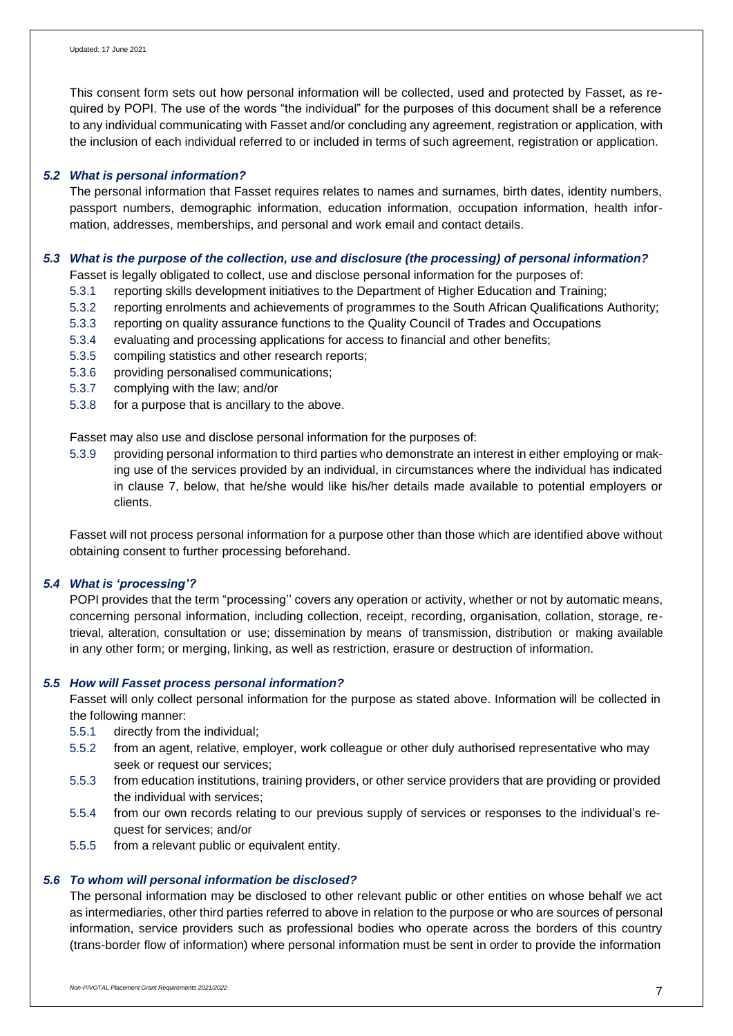This consent form sets out how personal information will be collected, used and protected by Fasset, as required by POPI. The use of the words "the individual" for the purposes of this document shall be a reference to any individual communicating with Fasset and/or concluding any agreement, registration or application, with the inclusion of each individual referred to or included in terms of such agreement, registration or application.

### *5.2 What is personal information?*

The personal information that Fasset requires relates to names and surnames, birth dates, identity numbers, passport numbers, demographic information, education information, occupation information, health information, addresses, memberships, and personal and work email and contact details.

### *5.3 What is the purpose of the collection, use and disclosure (the processing) of personal information?*

Fasset is legally obligated to collect, use and disclose personal information for the purposes of:

- 5.3.1 reporting skills development initiatives to the Department of Higher Education and Training;
- 5.3.2 reporting enrolments and achievements of programmes to the South African Qualifications Authority;
- 5.3.3 reporting on quality assurance functions to the Quality Council of Trades and Occupations
- 5.3.4 evaluating and processing applications for access to financial and other benefits;
- 5.3.5 compiling statistics and other research reports;
- 5.3.6 providing personalised communications;
- 5.3.7 complying with the law; and/or
- 5.3.8 for a purpose that is ancillary to the above.

Fasset may also use and disclose personal information for the purposes of:

5.3.9 providing personal information to third parties who demonstrate an interest in either employing or making use of the services provided by an individual, in circumstances where the individual has indicated in clause 7, below, that he/she would like his/her details made available to potential employers or clients.

Fasset will not process personal information for a purpose other than those which are identified above without obtaining consent to further processing beforehand.

### *5.4 What is 'processing'?*

POPI provides that the term "processing'' covers any operation or activity, whether or not by automatic means, concerning personal information, including collection, receipt, recording, organisation, collation, storage, retrieval, alteration, consultation or use; dissemination by means of transmission, distribution or making available in any other form; or merging, linking, as well as restriction, erasure or destruction of information.

### *5.5 How will Fasset process personal information?*

Fasset will only collect personal information for the purpose as stated above. Information will be collected in the following manner:

- 5.5.1 directly from the individual;
- 5.5.2 from an agent, relative, employer, work colleague or other duly authorised representative who may seek or request our services;
- 5.5.3 from education institutions, training providers, or other service providers that are providing or provided the individual with services;
- 5.5.4 from our own records relating to our previous supply of services or responses to the individual's request for services; and/or
- 5.5.5 from a relevant public or equivalent entity.

# *5.6 To whom will personal information be disclosed?*

The personal information may be disclosed to other relevant public or other entities on whose behalf we act as intermediaries, other third parties referred to above in relation to the purpose or who are sources of personal information, service providers such as professional bodies who operate across the borders of this country (trans-border flow of information) where personal information must be sent in order to provide the information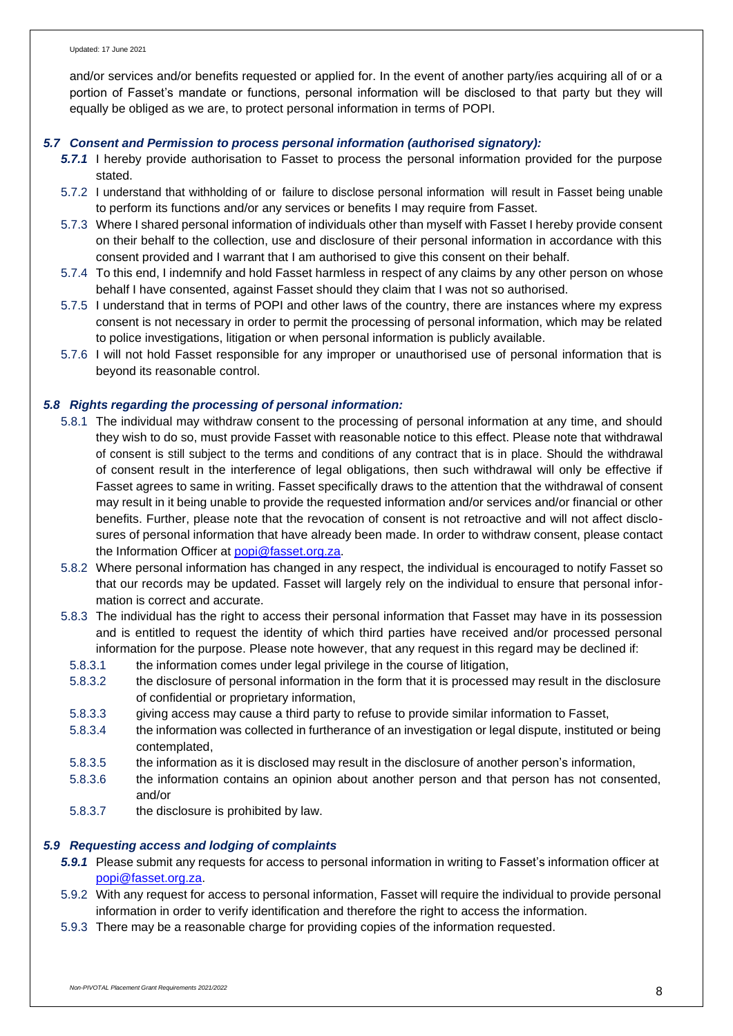and/or services and/or benefits requested or applied for. In the event of another party/ies acquiring all of or a portion of Fasset's mandate or functions, personal information will be disclosed to that party but they will equally be obliged as we are, to protect personal information in terms of POPI.

### *5.7 Consent and Permission to process personal information (authorised signatory):*

- *5.7.1* I hereby provide authorisation to Fasset to process the personal information provided for the purpose stated.
- 5.7.2 I understand that withholding of or failure to disclose personal information will result in Fasset being unable to perform its functions and/or any services or benefits I may require from Fasset.
- 5.7.3 Where I shared personal information of individuals other than myself with Fasset I hereby provide consent on their behalf to the collection, use and disclosure of their personal information in accordance with this consent provided and I warrant that I am authorised to give this consent on their behalf.
- 5.7.4 To this end, I indemnify and hold Fasset harmless in respect of any claims by any other person on whose behalf I have consented, against Fasset should they claim that I was not so authorised.
- 5.7.5 I understand that in terms of POPI and other laws of the country, there are instances where my express consent is not necessary in order to permit the processing of personal information, which may be related to police investigations, litigation or when personal information is publicly available.
- 5.7.6 I will not hold Fasset responsible for any improper or unauthorised use of personal information that is beyond its reasonable control.

### *5.8 Rights regarding the processing of personal information:*

- 5.8.1 The individual may withdraw consent to the processing of personal information at any time, and should they wish to do so, must provide Fasset with reasonable notice to this effect. Please note that withdrawal of consent is still subject to the terms and conditions of any contract that is in place. Should the withdrawal of consent result in the interference of legal obligations, then such withdrawal will only be effective if Fasset agrees to same in writing. Fasset specifically draws to the attention that the withdrawal of consent may result in it being unable to provide the requested information and/or services and/or financial or other benefits. Further, please note that the revocation of consent is not retroactive and will not affect disclosures of personal information that have already been made. In order to withdraw consent, please contact the Information Officer at [popi@fasset.org.za.](mailto:popi@fasset.org.za)
- 5.8.2 Where personal information has changed in any respect, the individual is encouraged to notify Fasset so that our records may be updated. Fasset will largely rely on the individual to ensure that personal information is correct and accurate.
- 5.8.3 The individual has the right to access their personal information that Fasset may have in its possession and is entitled to request the identity of which third parties have received and/or processed personal information for the purpose. Please note however, that any request in this regard may be declined if:
	- 5.8.3.1 the information comes under legal privilege in the course of litigation,
	- 5.8.3.2 the disclosure of personal information in the form that it is processed may result in the disclosure of confidential or proprietary information,
	- 5.8.3.3 giving access may cause a third party to refuse to provide similar information to Fasset,
	- 5.8.3.4 the information was collected in furtherance of an investigation or legal dispute, instituted or being contemplated,
	- 5.8.3.5 the information as it is disclosed may result in the disclosure of another person's information,
	- 5.8.3.6 the information contains an opinion about another person and that person has not consented, and/or
- 5.8.3.7 the disclosure is prohibited by law.

### *5.9 Requesting access and lodging of complaints*

- *5.9.1* Please submit any requests for access to personal information in writing to Fasset's information officer at [popi@fasset.org.za.](mailto:popi@fasset.org.za)
- 5.9.2 With any request for access to personal information, Fasset will require the individual to provide personal information in order to verify identification and therefore the right to access the information.
- 5.9.3 There may be a reasonable charge for providing copies of the information requested.